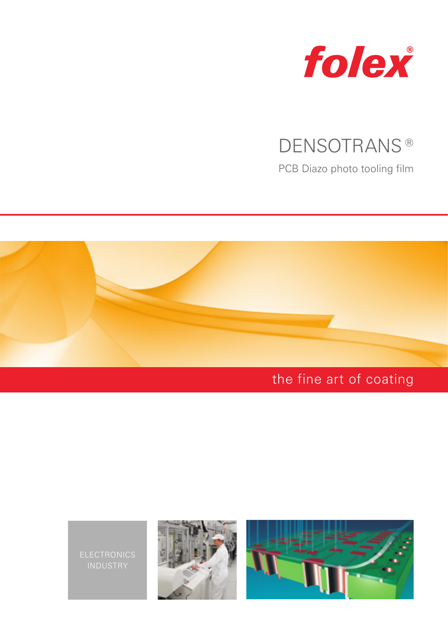

## DENSOTRANS<sup>®</sup>

PCB Diazo photo tooling film



# the fine art of coating

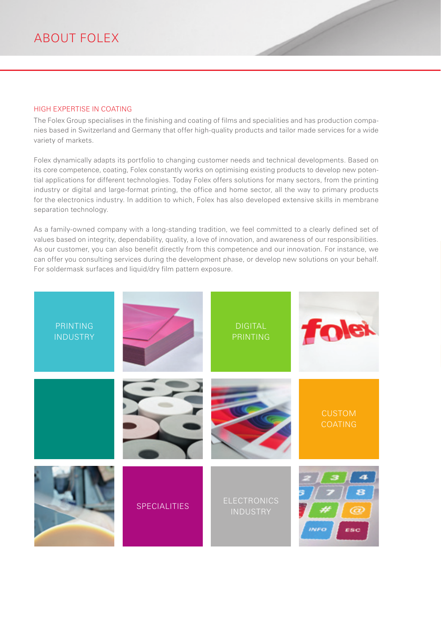#### HIGH EXPERTISE IN COATING

The Folex Group specialises in the finishing and coating of films and specialities and has production companies based in Switzerland and Germany that offer high-quality products and tailor made services for a wide variety of markets.

Folex dynamically adapts its portfolio to changing customer needs and technical developments. Based on its core competence, coating, Folex constantly works on optimising existing products to develop new potential applications for different technologies. Today Folex offers solutions for many sectors, from the printing industry or digital and large-format printing, the office and home sector, all the way to primary products for the electronics industry. In addition to which, Folex has also developed extensive skills in membrane separation technology.

As a family-owned company with a long-standing tradition, we feel committed to a clearly defined set of values based on integrity, dependability, quality, a love of innovation, and awareness of our responsibilities. As our customer, you can also benefit directly from this competence and our innovation. For instance, we can offer you consulting services during the development phase, or develop new solutions on your behalf. For soldermask surfaces and liquid/dry film pattern exposure.

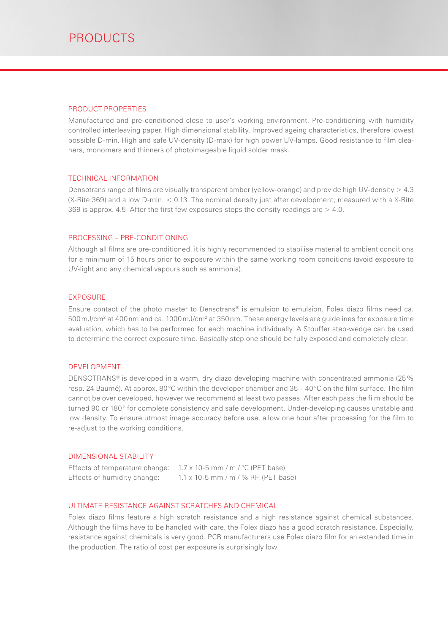#### PRODUCT PROPERTIES

Manufactured and pre-conditioned close to user's working environment. Pre-conditioning with humidity controlled interleaving paper. High dimensional stability. Improved ageing characteristics, therefore lowest possible D-min. High and safe UV-density (D-max) for high power UV-lamps. Good resistance to film cleaners, monomers and thinners of photoimageable liquid solder mask.

#### TECHNICAL INFORMATION

Densotrans range of films are visually transparent amber (yellow-orange) and provide high UV-density  $> 4.3$ (X-Rite 369) and a low D-min. < 0.13. The nominal density just after development, measured with a X-Rite 369 is approx. 4.5. After the first few exposures steps the density readings are  $>$  4.0.

#### PROCESSING – PRE-CONDITIONING

Although all films are pre-conditioned, it is highly recommended to stabilise material to ambient conditions for a minimum of 15 hours prior to exposure within the same working room conditions (avoid exposure to UV-light and any chemical vapours such as ammonia).

#### EXPOSURE

Ensure contact of the photo master to Densotrans® is emulsion to emulsion. Folex diazo films need ca.  $500$ mJ/cm $^2$  at 400 nm and ca. 1000 mJ/cm $^2$  at 350 nm. These energy levels are guidelines for exposure time evaluation, which has to be performed for each machine individually. A Stouffer step-wedge can be used to determine the correct exposure time. Basically step one should be fully exposed and completely clear.

#### DEVELOPMENT

DENSOTRANS® is developed in a warm, dry diazo developing machine with concentrated ammonia (25 % resp. 24 Baumé). At approx. 80°C within the developer chamber and 35 – 40°C on the film surface. The film cannot be over developed, however we recommend at least two passes. After each pass the film should be turned 90 or 180° for complete consistency and safe development. Under-developing causes unstable and low density. To ensure utmost image accuracy before use, allow one hour after processing for the film to re-adjust to the working conditions.

#### DIMENSIONAL STABILITY

| Effects of temperature change: | $1.7 \times 10$ -5 mm / m / °C (PET base)   |
|--------------------------------|---------------------------------------------|
| Effects of humidity change:    | $1.1 \times 10$ -5 mm / m / % RH (PET base) |

#### ULTIMATE RESISTANCE AGAINST SCRATCHES AND CHEMICAL

Folex diazo films feature a high scratch resistance and a high resistance against chemical substances. Although the films have to be handled with care, the Folex diazo has a good scratch resistance. Especially, resistance against chemicals is very good. PCB manufacturers use Folex diazo film for an extended time in the production. The ratio of cost per exposure is surprisingly low.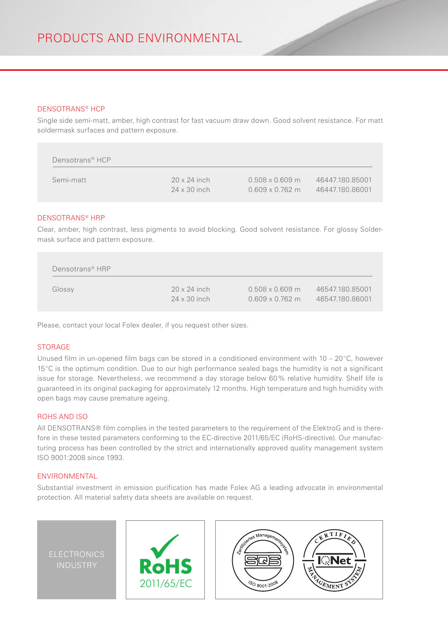#### DENSOTRANS® HCP

Single side semi-matt, amber, high contrast for fast vacuum draw down. Good solvent resistance. For matt soldermask surfaces and pattern exposure.

| Densotrans <sup>®</sup> HCP |                     |                        |                 |
|-----------------------------|---------------------|------------------------|-----------------|
| Semi-matt                   | $20 \times 24$ inch | $0.508 \times 0.609$ m | 46447.180.85001 |
|                             | $24 \times 30$ inch | $0.609 \times 0.762$ m | 46447.180.86001 |

#### DENSOTRANS® HRP

Clear, amber, high contrast, less pigments to avoid blocking. Good solvent resistance. For glossy Soldermask surface and pattern exposure.

| Densotrans® HRP |                     |                        |                 |
|-----------------|---------------------|------------------------|-----------------|
| Glossy          | $20 \times 24$ inch | $0.508 \times 0.609$ m | 46547.180.85001 |
|                 | $24 \times 30$ inch | $0.609 \times 0.762$ m | 46547.180.86001 |

Please, contact your local Folex dealer, if you request other sizes.

#### STORAGE

Unused film in un-opened film bags can be stored in a conditioned environment with  $10 - 20$ °C, however 15°C is the optimum condition. Due to our high performance sealed bags the humidity is not a significant issue for storage. Nevertheless, we recommend a day storage below 60% relative humidity. Shelf life is guaranteed in its original packaging for approximately 12 months. High temperature and high humidity with open bags may cause premature ageing.

#### ROHS AND ISO

All DENSOTRANS® film complies in the tested parameters to the requirement of the ElektroG and is therefore in these tested parameters conforming to the EC-directive 2011/65/EC (RoHS-directive). Our manufacturing process has been controlled by the strict and internationally approved quality management system ISO 9001:2008 since 1993.

#### ENVIRONMENTAL

Substantial investment in emission purification has made Folex AG a leading advocate in environmental protection. All material safety data sheets are available on request.

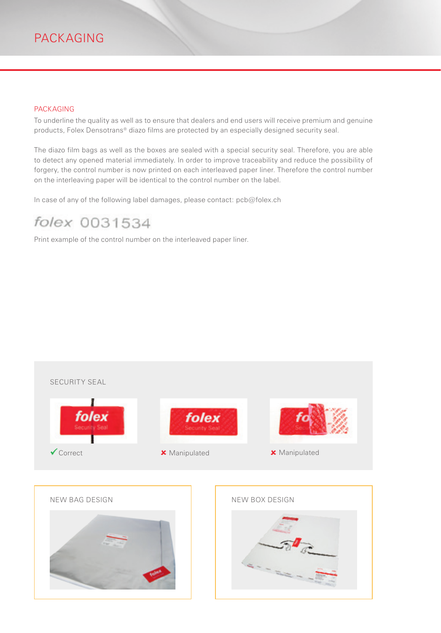#### PACKAGING

To underline the quality as well as to ensure that dealers and end users will receive premium and genuine products, Folex Densotrans® diazo films are protected by an especially designed security seal.

The diazo film bags as well as the boxes are sealed with a special security seal. Therefore, you are able to detect any opened material immediately. In order to improve traceability and reduce the possibility of forgery, the control number is now printed on each interleaved paper liner. Therefore the control number on the interleaving paper will be identical to the control number on the label.

In case of any of the following label damages, please contact: pcb@folex.ch

### folex 0031534

Print example of the control number on the interleaved paper liner.